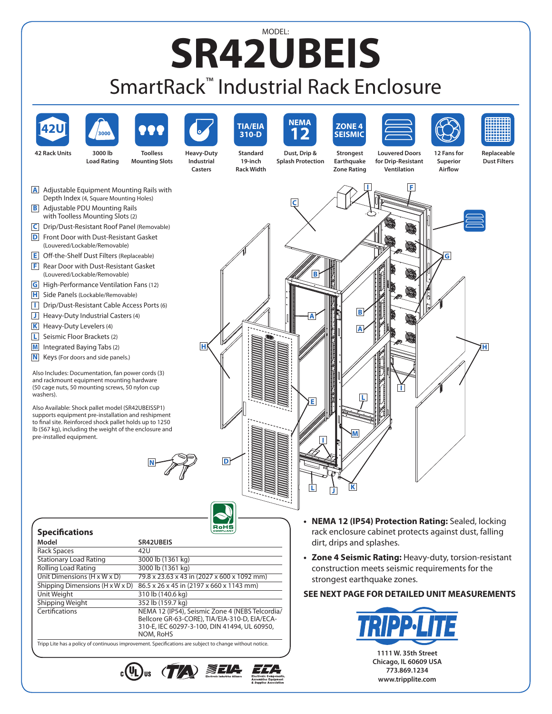## MODEL: **SR42UBEIS**  SmartRack™ Industrial Rack Enclosure



Tripp Lite has a policy of continuous improvement. Specifications are subject to change without notice.

- $_{c}$ (U)<sub>us</sub> (T/A) ZELA
- 

**1111 W. 35th Street Chicago, IL 60609 USA 773.869.1234 www.tripplite.com**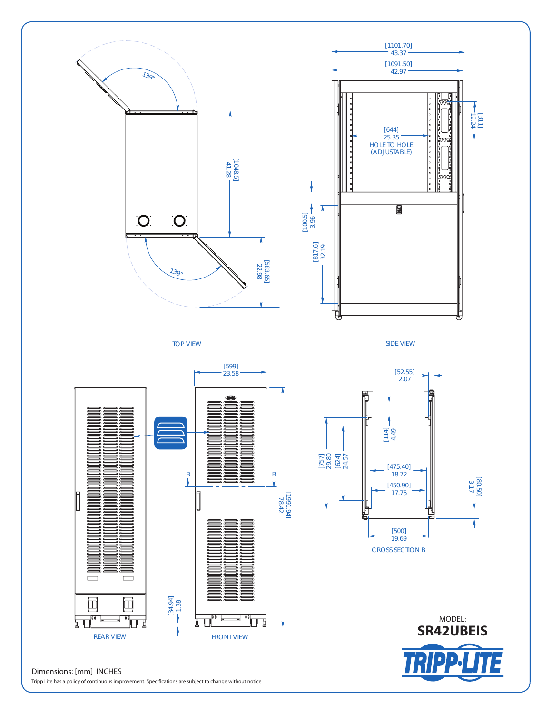

## Dimensions: [mm] INCHES

Tripp Lite has a policy of continuous improvement. Specifications are subject to change without notice.